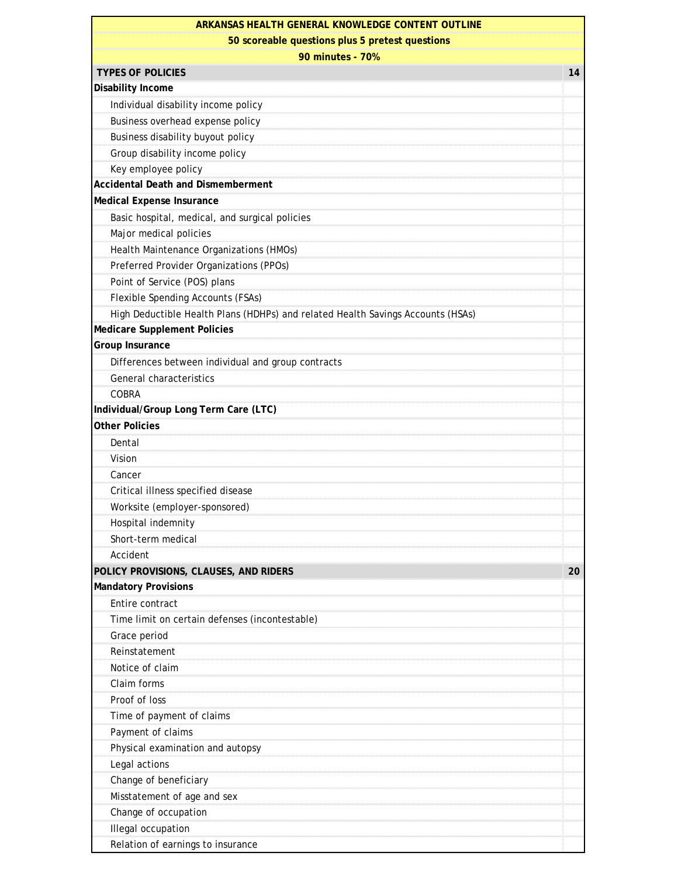| ARKANSAS HEALTH GENERAL KNOWLEDGE CONTENT OUTLINE                               |    |  |
|---------------------------------------------------------------------------------|----|--|
| 50 scoreable questions plus 5 pretest questions                                 |    |  |
| 90 minutes - 70%                                                                |    |  |
| <b>TYPES OF POLICIES</b>                                                        | 14 |  |
| Disability Income                                                               |    |  |
| Individual disability income policy                                             |    |  |
| Business overhead expense policy                                                |    |  |
| Business disability buyout policy                                               |    |  |
| Group disability income policy                                                  |    |  |
| Key employee policy                                                             |    |  |
| <b>Accidental Death and Dismemberment</b>                                       |    |  |
| Medical Expense Insurance                                                       |    |  |
| Basic hospital, medical, and surgical policies                                  |    |  |
| Major medical policies                                                          |    |  |
| Health Maintenance Organizations (HMOs)                                         |    |  |
| Preferred Provider Organizations (PPOs)                                         |    |  |
| Point of Service (POS) plans                                                    |    |  |
| Flexible Spending Accounts (FSAs)                                               |    |  |
| High Deductible Health Plans (HDHPs) and related Health Savings Accounts (HSAs) |    |  |
| <b>Medicare Supplement Policies</b>                                             |    |  |
| Group Insurance                                                                 |    |  |
| Differences between individual and group contracts                              |    |  |
| General characteristics                                                         |    |  |
| <b>COBRA</b>                                                                    |    |  |
| Individual/Group Long Term Care (LTC)                                           |    |  |
| <b>Other Policies</b>                                                           |    |  |
| Dental                                                                          |    |  |
| Vision                                                                          |    |  |
| Cancer                                                                          |    |  |
| Critical illness specified disease                                              |    |  |
| Worksite (employer-sponsored)                                                   |    |  |
| Hospital indemnity                                                              |    |  |
| Short-term medical                                                              |    |  |
| Accident                                                                        |    |  |
| POLICY PROVISIONS, CLAUSES, AND RIDERS                                          | 20 |  |
| <b>Mandatory Provisions</b>                                                     |    |  |
| Entire contract                                                                 |    |  |
| Time limit on certain defenses (incontestable)                                  |    |  |
| Grace period                                                                    |    |  |
| Reinstatement                                                                   |    |  |
| Notice of claim                                                                 |    |  |
| Claim forms                                                                     |    |  |
| Proof of loss                                                                   |    |  |
| Time of payment of claims                                                       |    |  |
| Payment of claims                                                               |    |  |
| Physical examination and autopsy                                                |    |  |
| Legal actions                                                                   |    |  |
| Change of beneficiary                                                           |    |  |
| Misstatement of age and sex                                                     |    |  |
| Change of occupation                                                            |    |  |
| Illegal occupation                                                              |    |  |
| Relation of earnings to insurance                                               |    |  |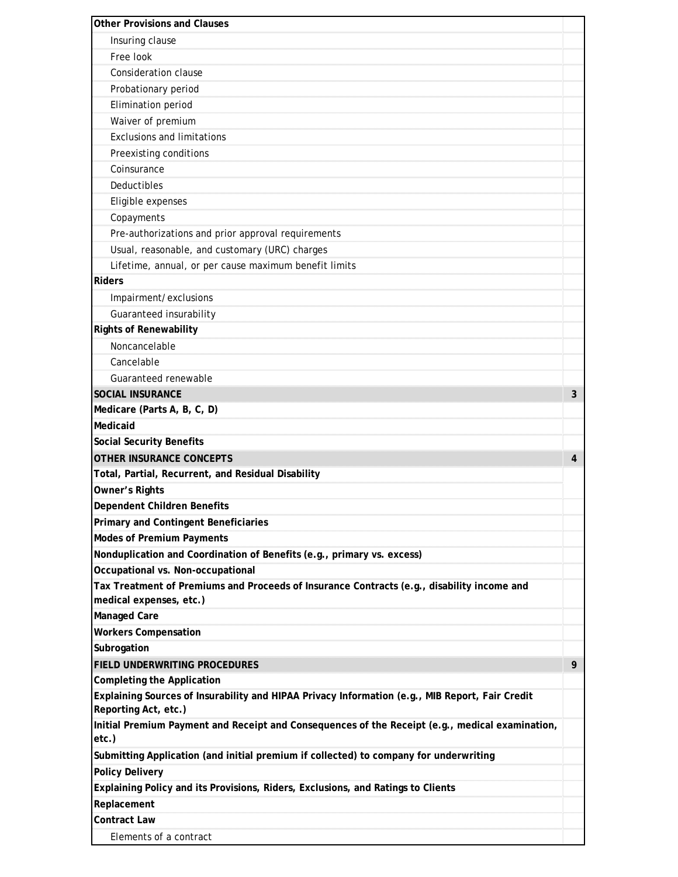| <b>Other Provisions and Clauses</b>                                                                                     |   |
|-------------------------------------------------------------------------------------------------------------------------|---|
| Insuring clause                                                                                                         |   |
| Free look                                                                                                               |   |
| <b>Consideration clause</b>                                                                                             |   |
| Probationary period                                                                                                     |   |
| Elimination period                                                                                                      |   |
| Waiver of premium                                                                                                       |   |
| <b>Exclusions and limitations</b>                                                                                       |   |
| Preexisting conditions                                                                                                  |   |
| Coinsurance                                                                                                             |   |
| Deductibles                                                                                                             |   |
| Eligible expenses                                                                                                       |   |
| Copayments                                                                                                              |   |
| Pre-authorizations and prior approval requirements                                                                      |   |
| Usual, reasonable, and customary (URC) charges                                                                          |   |
| Lifetime, annual, or per cause maximum benefit limits                                                                   |   |
| <b>Riders</b>                                                                                                           |   |
| Impairment/exclusions                                                                                                   |   |
| Guaranteed insurability                                                                                                 |   |
| <b>Rights of Renewability</b>                                                                                           |   |
| Noncancelable                                                                                                           |   |
| Cancelable                                                                                                              |   |
| Guaranteed renewable                                                                                                    |   |
| <b>SOCIAL INSURANCE</b>                                                                                                 | 3 |
| Medicare (Parts A, B, C, D)                                                                                             |   |
| Medicaid                                                                                                                |   |
| <b>Social Security Benefits</b>                                                                                         |   |
| <b>OTHER INSURANCE CONCEPTS</b>                                                                                         | 4 |
| Total, Partial, Recurrent, and Residual Disability                                                                      |   |
| Owner's Rights                                                                                                          |   |
| <b>Dependent Children Benefits</b>                                                                                      |   |
| <b>Primary and Contingent Beneficiaries</b>                                                                             |   |
| <b>Modes of Premium Payments</b>                                                                                        |   |
| Nonduplication and Coordination of Benefits (e.g., primary vs. excess)                                                  |   |
| Occupational vs. Non-occupational                                                                                       |   |
| Tax Treatment of Premiums and Proceeds of Insurance Contracts (e.g., disability income and                              |   |
| medical expenses, etc.)                                                                                                 |   |
| Managed Care                                                                                                            |   |
| <b>Workers Compensation</b>                                                                                             |   |
| Subrogation                                                                                                             |   |
| FIELD UNDERWRITING PROCEDURES                                                                                           | 9 |
| <b>Completing the Application</b>                                                                                       |   |
| Explaining Sources of Insurability and HIPAA Privacy Information (e.g., MIB Report, Fair Credit<br>Reporting Act, etc.) |   |
| Initial Premium Payment and Receipt and Consequences of the Receipt (e.g., medical examination,                         |   |
| etc.)<br>Submitting Application (and initial premium if collected) to company for underwriting                          |   |
| <b>Policy Delivery</b>                                                                                                  |   |
| Explaining Policy and its Provisions, Riders, Exclusions, and Ratings to Clients                                        |   |
| Replacement                                                                                                             |   |
| <b>Contract Law</b>                                                                                                     |   |
| Elements of a contract                                                                                                  |   |
|                                                                                                                         |   |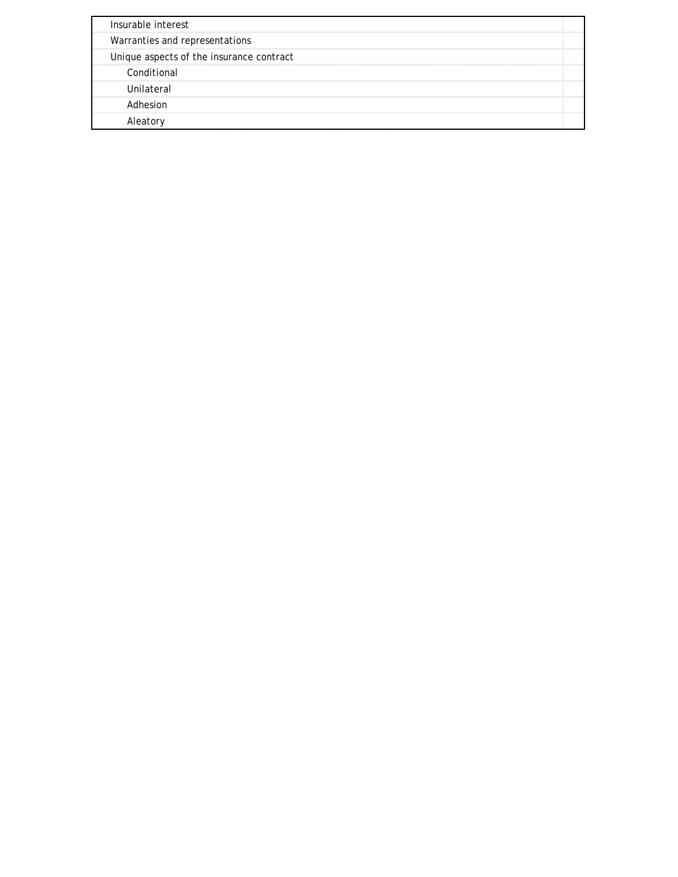| Insurable interest                       |  |
|------------------------------------------|--|
| Warranties and representations           |  |
| Unique aspects of the insurance contract |  |
| Conditional                              |  |
| Unilateral                               |  |
| Adhesion                                 |  |
|                                          |  |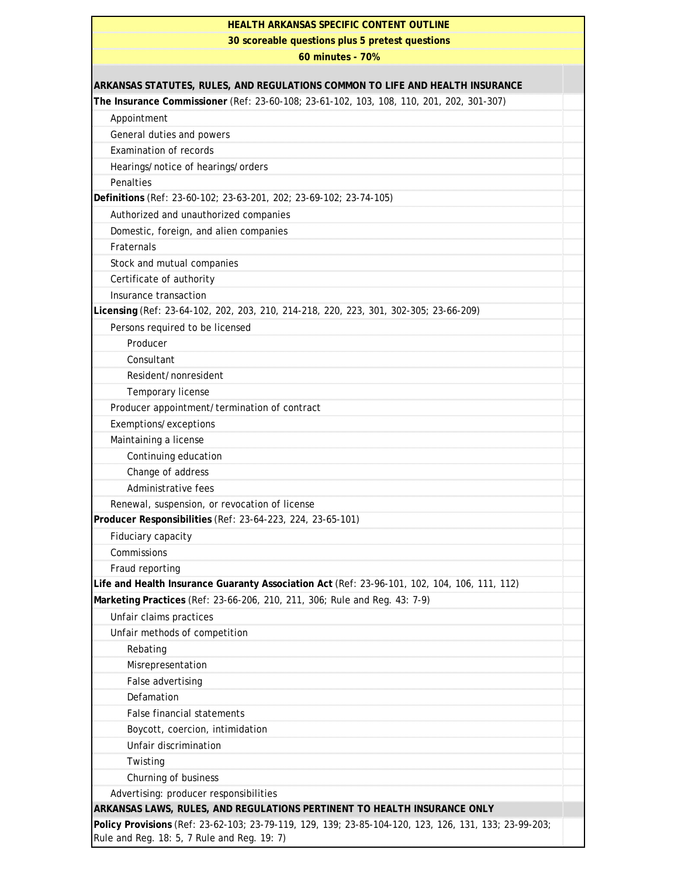| <b>HEALTH ARKANSAS SPECIFIC CONTENT OUTLINE</b>                                                                                                      |  |
|------------------------------------------------------------------------------------------------------------------------------------------------------|--|
| 30 scoreable questions plus 5 pretest questions                                                                                                      |  |
| 60 minutes - 70%                                                                                                                                     |  |
|                                                                                                                                                      |  |
| ARKANSAS STATUTES, RULES, AND REGULATIONS COMMON TO LIFE AND HEALTH INSURANCE                                                                        |  |
| The Insurance Commissioner (Ref: 23-60-108; 23-61-102, 103, 108, 110, 201, 202, 301-307)                                                             |  |
| Appointment                                                                                                                                          |  |
| General duties and powers                                                                                                                            |  |
| <b>Examination of records</b>                                                                                                                        |  |
| Hearings/notice of hearings/orders                                                                                                                   |  |
| Penalties                                                                                                                                            |  |
| Definitions (Ref: 23-60-102; 23-63-201, 202; 23-69-102; 23-74-105)                                                                                   |  |
| Authorized and unauthorized companies                                                                                                                |  |
| Domestic, foreign, and alien companies                                                                                                               |  |
| Fraternals                                                                                                                                           |  |
| Stock and mutual companies                                                                                                                           |  |
| Certificate of authority                                                                                                                             |  |
| Insurance transaction                                                                                                                                |  |
| Licensing (Ref: 23-64-102, 202, 203, 210, 214-218, 220, 223, 301, 302-305; 23-66-209)                                                                |  |
| Persons required to be licensed                                                                                                                      |  |
| Producer                                                                                                                                             |  |
| Consultant                                                                                                                                           |  |
| Resident/nonresident                                                                                                                                 |  |
| Temporary license                                                                                                                                    |  |
| Producer appointment/termination of contract                                                                                                         |  |
| Exemptions/exceptions                                                                                                                                |  |
| Maintaining a license                                                                                                                                |  |
| Continuing education                                                                                                                                 |  |
| Change of address                                                                                                                                    |  |
| Administrative fees                                                                                                                                  |  |
| Renewal, suspension, or revocation of license                                                                                                        |  |
| Producer Responsibilities (Ref: 23-64-223, 224, 23-65-101)                                                                                           |  |
| Fiduciary capacity                                                                                                                                   |  |
| Commissions                                                                                                                                          |  |
| Fraud reporting                                                                                                                                      |  |
| Life and Health Insurance Guaranty Association Act (Ref: 23-96-101, 102, 104, 106, 111, 112)                                                         |  |
| Marketing Practices (Ref: 23-66-206, 210, 211, 306; Rule and Reg. 43: 7-9)                                                                           |  |
| Unfair claims practices                                                                                                                              |  |
| Unfair methods of competition                                                                                                                        |  |
| Rebating                                                                                                                                             |  |
| Misrepresentation                                                                                                                                    |  |
| False advertising                                                                                                                                    |  |
| Defamation                                                                                                                                           |  |
| <b>False financial statements</b>                                                                                                                    |  |
| Boycott, coercion, intimidation                                                                                                                      |  |
| Unfair discrimination                                                                                                                                |  |
| Twisting                                                                                                                                             |  |
| Churning of business                                                                                                                                 |  |
| Advertising: producer responsibilities                                                                                                               |  |
| ARKANSAS LAWS, RULES, AND REGULATIONS PERTINENT TO HEALTH INSURANCE ONLY                                                                             |  |
| Policy Provisions (Ref: 23-62-103; 23-79-119, 129, 139; 23-85-104-120, 123, 126, 131, 133; 23-99-203;<br>Rule and Reg. 18: 5, 7 Rule and Reg. 19: 7) |  |